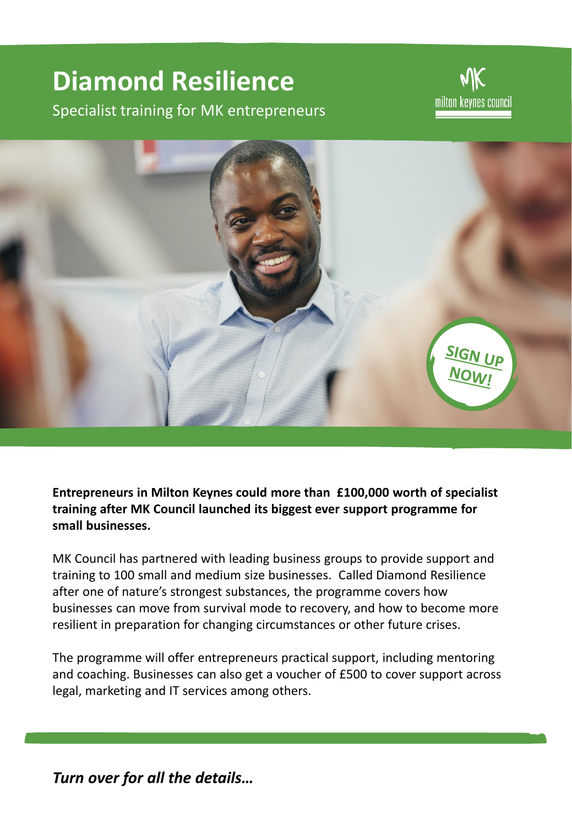# **Diamond Resilience**

Specialist training for MK entrepreneurs

milton keynes council



**Entrepreneurs in Milton Keynes could more than £100,000 worth of specialist training after MK Council launched its biggest ever support programme for small businesses.**

MK Council has partnered with leading business groups to provide support and training to 100 small and medium size businesses. Called Diamond Resilience after one of nature's strongest substances, the programme covers how businesses can move from survival mode to recovery, and how to become more resilient in preparation for changing circumstances or other future crises.

The programme will offer entrepreneurs practical support, including mentoring and coaching. Businesses can also get a voucher of £500 to cover support across legal, marketing and IT services among others.

*Turn over for all the details…*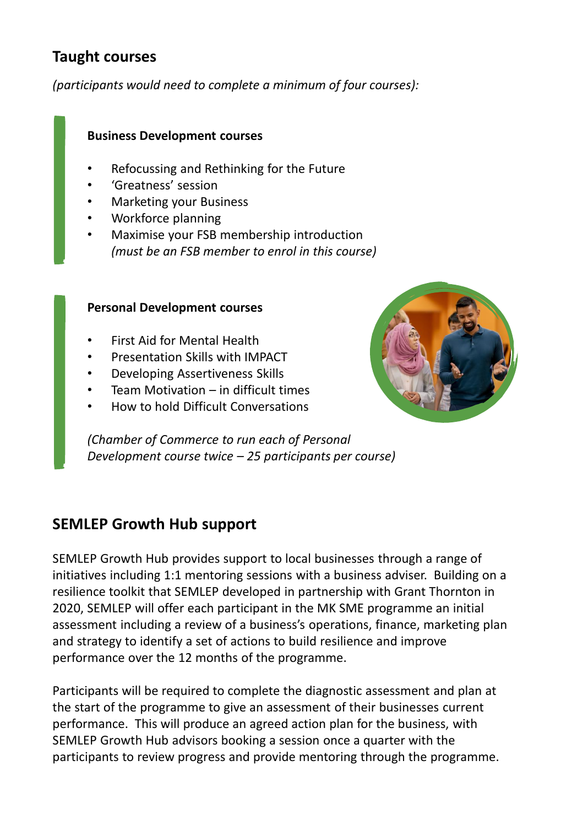## **Taught courses**

*(participants would need to complete a minimum of four courses):*

### **Business Development courses**

- Refocussing and Rethinking for the Future
- 'Greatness' session
- Marketing your Business
- Workforce planning
- Maximise your FSB membership introduction *(must be an FSB member to enrol in this course)*

#### **Personal Development courses**

- First Aid for Mental Health
- Presentation Skills with IMPACT
- Developing Assertiveness Skills
- Team Motivation  $-$  in difficult times
- How to hold Difficult Conversations

*(Chamber of Commerce to run each of Personal Development course twice – 25 participants per course)*

## **SEMLEP Growth Hub support**

SEMLEP Growth Hub provides support to local businesses through a range of initiatives including 1:1 mentoring sessions with a business adviser. Building on a resilience toolkit that SEMLEP developed in partnership with Grant Thornton in 2020, SEMLEP will offer each participant in the MK SME programme an initial assessment including a review of a business's operations, finance, marketing plan and strategy to identify a set of actions to build resilience and improve performance over the 12 months of the programme.

Participants will be required to complete the diagnostic assessment and plan at the start of the programme to give an assessment of their businesses current performance. This will produce an agreed action plan for the business, with SEMLEP Growth Hub advisors booking a session once a quarter with the participants to review progress and provide mentoring through the programme.

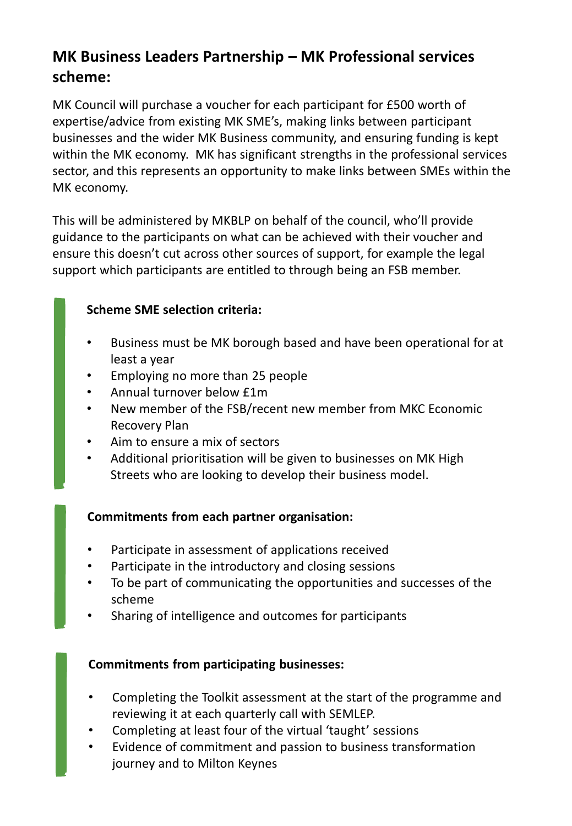# **MK Business Leaders Partnership – MK Professional services scheme:**

MK Council will purchase a voucher for each participant for £500 worth of expertise/advice from existing MK SME's, making links between participant businesses and the wider MK Business community, and ensuring funding is kept within the MK economy. MK has significant strengths in the professional services sector, and this represents an opportunity to make links between SMEs within the MK economy.

This will be administered by MKBLP on behalf of the council, who'll provide guidance to the participants on what can be achieved with their voucher and ensure this doesn't cut across other sources of support, for example the legal support which participants are entitled to through being an FSB member.

## **Scheme SME selection criteria:**

- Business must be MK borough based and have been operational for at least a year
- Employing no more than 25 people
- Annual turnover below £1m
- New member of the FSB/recent new member from MKC Economic Recovery Plan
- Aim to ensure a mix of sectors
- Additional prioritisation will be given to businesses on MK High Streets who are looking to develop their business model.

## **Commitments from each partner organisation:**

- Participate in assessment of applications received
- Participate in the introductory and closing sessions
- To be part of communicating the opportunities and successes of the scheme
- Sharing of intelligence and outcomes for participants

## **Commitments from participating businesses:**

- Completing the Toolkit assessment at the start of the programme and reviewing it at each quarterly call with SEMLEP.
- Completing at least four of the virtual 'taught' sessions
- Evidence of commitment and passion to business transformation journey and to Milton Keynes